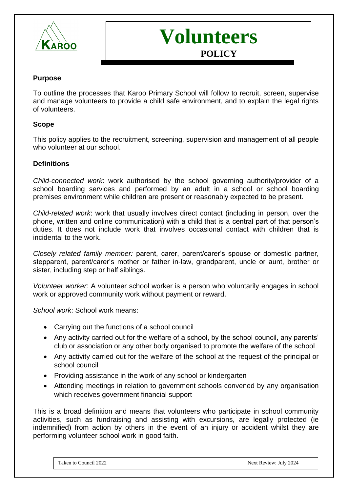



### **Purpose**

To outline the processes that Karoo Primary School will follow to recruit, screen, supervise and manage volunteers to provide a child safe environment, and to explain the legal rights of volunteers.

#### **Scope**

This policy applies to the recruitment, screening, supervision and management of all people who volunteer at our school.

#### **Definitions**

*Child-connected work*: work authorised by the school governing authority/provider of a school boarding services and performed by an adult in a school or school boarding premises environment while children are present or reasonably expected to be present.

*Child-related work*: work that usually involves direct contact (including in person, over the phone, written and online communication) with a child that is a central part of that person's duties. It does not include work that involves occasional contact with children that is incidental to the work.

*Closely related family member:* parent, carer, parent/carer's spouse or domestic partner, stepparent, parent/carer's mother or father in-law, grandparent, uncle or aunt, brother or sister, including step or half siblings.

*Volunteer worker*: A volunteer school worker is a person who voluntarily engages in school work or approved community work without payment or reward.

*School work*: School work means:

- Carrying out the functions of a school council
- Any activity carried out for the welfare of a school, by the school council, any parents' club or association or any other body organised to promote the welfare of the school
- Any activity carried out for the welfare of the school at the request of the principal or school council
- Providing assistance in the work of any school or kindergarten
- Attending meetings in relation to government schools convened by any organisation which receives government financial support

This is a broad definition and means that volunteers who participate in school community activities, such as fundraising and assisting with excursions, are legally protected (ie indemnified) from action by others in the event of an injury or accident whilst they are performing volunteer school work in good faith.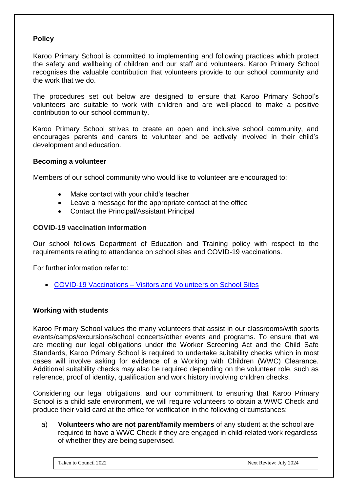### **Policy**

Karoo Primary School is committed to implementing and following practices which protect the safety and wellbeing of children and our staff and volunteers. Karoo Primary School recognises the valuable contribution that volunteers provide to our school community and the work that we do.

The procedures set out below are designed to ensure that Karoo Primary School's volunteers are suitable to work with children and are well-placed to make a positive contribution to our school community.

Karoo Primary School strives to create an open and inclusive school community, and encourages parents and carers to volunteer and be actively involved in their child's development and education.

### **Becoming a volunteer**

Members of our school community who would like to volunteer are encouraged to:

- Make contact with your child's teacher
- Leave a message for the appropriate contact at the office
- Contact the Principal/Assistant Principal

### **COVID-19 vaccination information**

Our school follows Department of Education and Training policy with respect to the requirements relating to attendance on school sites and COVID-19 vaccinations.

For further information refer to:

• [COVID-19 Vaccinations –](https://www2.education.vic.gov.au/pal/covid-19-vaccinations-visitors-volunteers/policy) Visitors and Volunteers on School Sites

### **Working with students**

Karoo Primary School values the many volunteers that assist in our classrooms/with sports events/camps/excursions/school concerts/other events and programs. To ensure that we are meeting our legal obligations under the Worker Screening Act and the Child Safe Standards, Karoo Primary School is required to undertake suitability checks which in most cases will involve asking for evidence of a Working with Children (WWC) Clearance. Additional suitability checks may also be required depending on the volunteer role, such as reference, proof of identity, qualification and work history involving children checks.

Considering our legal obligations, and our commitment to ensuring that Karoo Primary School is a child safe environment, we will require volunteers to obtain a WWC Check and produce their valid card at the office for verification in the following circumstances:

a) **Volunteers who are not parent/family members** of any student at the school are required to have a WWC Check if they are engaged in child-related work regardless of whether they are being supervised.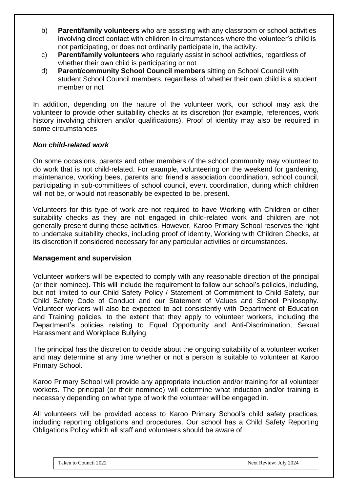- b) **Parent/family volunteers** who are assisting with any classroom or school activities involving direct contact with children in circumstances where the volunteer's child is not participating, or does not ordinarily participate in, the activity.
- c) **Parent/family volunteers** who regularly assist in school activities, regardless of whether their own child is participating or not
- d) **Parent/community School Council members** sitting on School Council with student School Council members, regardless of whether their own child is a student member or not

In addition, depending on the nature of the volunteer work, our school may ask the volunteer to provide other suitability checks at its discretion (for example, references, work history involving children and/or qualifications). Proof of identity may also be required in some circumstances

### *Non child-related work*

On some occasions, parents and other members of the school community may volunteer to do work that is not child-related. For example, volunteering on the weekend for gardening, maintenance, working bees, parents and friend's association coordination, school council, participating in sub-committees of school council, event coordination, during which children will not be, or would not reasonably be expected to be, present.

Volunteers for this type of work are not required to have Working with Children or other suitability checks as they are not engaged in child-related work and children are not generally present during these activities. However, Karoo Primary School reserves the right to undertake suitability checks, including proof of identity, Working with Children Checks, at its discretion if considered necessary for any particular activities or circumstances.

### **Management and supervision**

Volunteer workers will be expected to comply with any reasonable direction of the principal (or their nominee). This will include the requirement to follow our school's policies, including, but not limited to our Child Safety Policy / Statement of Commitment to Child Safety, our Child Safety Code of Conduct and our Statement of Values and School Philosophy. Volunteer workers will also be expected to act consistently with Department of Education and Training policies, to the extent that they apply to volunteer workers, including the Department's policies relating to Equal Opportunity and Anti-Discrimination, Sexual Harassment and Workplace Bullying.

The principal has the discretion to decide about the ongoing suitability of a volunteer worker and may determine at any time whether or not a person is suitable to volunteer at Karoo Primary School.

Karoo Primary School will provide any appropriate induction and/or training for all volunteer workers. The principal (or their nominee) will determine what induction and/or training is necessary depending on what type of work the volunteer will be engaged in.

All volunteers will be provided access to Karoo Primary School's child safety practices, including reporting obligations and procedures. Our school has a Child Safety Reporting Obligations Policy which all staff and volunteers should be aware of.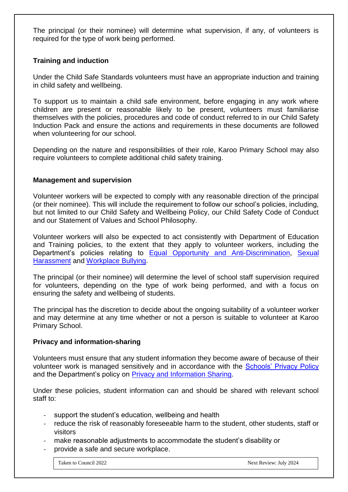The principal (or their nominee) will determine what supervision, if any, of volunteers is required for the type of work being performed.

## **Training and induction**

Under the Child Safe Standards volunteers must have an appropriate induction and training in child safety and wellbeing.

To support us to maintain a child safe environment, before engaging in any work where children are present or reasonable likely to be present, volunteers must familiarise themselves with the policies, procedures and code of conduct referred to in our Child Safety Induction Pack and ensure the actions and requirements in these documents are followed when volunteering for our school.

Depending on the nature and responsibilities of their role, Karoo Primary School may also require volunteers to complete additional child safety training.

### **Management and supervision**

Volunteer workers will be expected to comply with any reasonable direction of the principal (or their nominee). This will include the requirement to follow our school's policies, including, but not limited to our Child Safety and Wellbeing Policy, our Child Safety Code of Conduct and our Statement of Values and School Philosophy.

Volunteer workers will also be expected to act consistently with Department of Education and Training policies, to the extent that they apply to volunteer workers, including the Department's policies relating to [Equal Opportunity and Anti-Discrimination,](https://www2.education.vic.gov.au/pal/equal-opportunity/policy-and-guidelines) [Sexual](https://www2.education.vic.gov.au/pal/sexual-harassment/overview)  [Harassment](https://www2.education.vic.gov.au/pal/sexual-harassment/overview) and [Workplace Bullying.](https://www2.education.vic.gov.au/pal/workplace-bullying/policy)

The principal (or their nominee) will determine the level of school staff supervision required for volunteers, depending on the type of work being performed, and with a focus on ensuring the safety and wellbeing of students.

The principal has the discretion to decide about the ongoing suitability of a volunteer worker and may determine at any time whether or not a person is suitable to volunteer at Karoo Primary School.

### **Privacy and information-sharing**

Volunteers must ensure that any student information they become aware of because of their volunteer work is managed sensitively and in accordance with the [Schools' Privacy Policy](https://www.education.vic.gov.au/Pages/schoolsprivacypolicy.aspx) and the Department's policy on [Privacy and Information Sharing.](https://www2.education.vic.gov.au/pal/privacy-information-sharing/policy)

Under these policies, student information can and should be shared with relevant school staff to:

- support the student's education, wellbeing and health
- reduce the risk of reasonably foreseeable harm to the student, other students, staff or visitors
- make reasonable adjustments to accommodate the student's disability or
- provide a safe and secure workplace.

Taken to Council 2022 2024 Next Review: July 2024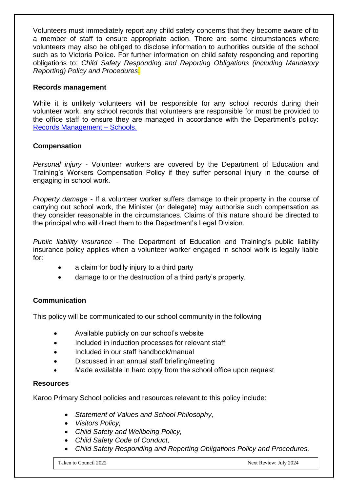Volunteers must immediately report any child safety concerns that they become aware of to a member of staff to ensure appropriate action. There are some circumstances where volunteers may also be obliged to disclose information to authorities outside of the school such as to Victoria Police. For further information on child safety responding and reporting obligations to: *Child Safety Responding and Reporting Obligations (including Mandatory Reporting) Policy and Procedures*.

### **Records management**

While it is unlikely volunteers will be responsible for any school records during their volunteer work, any school records that volunteers are responsible for must be provided to the office staff to ensure they are managed in accordance with the Department's policy: [Records Management –](https://www2.education.vic.gov.au/pal/records-management/policy) Schools.

## **Compensation**

*Personal injury -* Volunteer workers are covered by the Department of Education and Training's Workers Compensation Policy if they suffer personal injury in the course of engaging in school work.

*Property damage -* If a volunteer worker suffers damage to their property in the course of carrying out school work, the Minister (or delegate) may authorise such compensation as they consider reasonable in the circumstances. Claims of this nature should be directed to the principal who will direct them to the Department's Legal Division.

*Public liability insurance -* The Department of Education and Training's public liability insurance policy applies when a volunteer worker engaged in school work is legally liable for:

- a claim for bodily injury to a third party
- damage to or the destruction of a third party's property.

# **Communication**

This policy will be communicated to our school community in the following

- Available publicly on our school's website
- Included in induction processes for relevant staff
- Included in our staff handbook/manual
- Discussed in an annual staff briefing/meeting
- Made available in hard copy from the school office upon request

### **Resources**

Karoo Primary School policies and resources relevant to this policy include:

- *Statement of Values and School Philosophy*,
- *Visitors Policy,*
- *Child Safety and Wellbeing Policy,*
- *Child Safety Code of Conduct,*
- *Child Safety Responding and Reporting Obligations Policy and Procedures,*